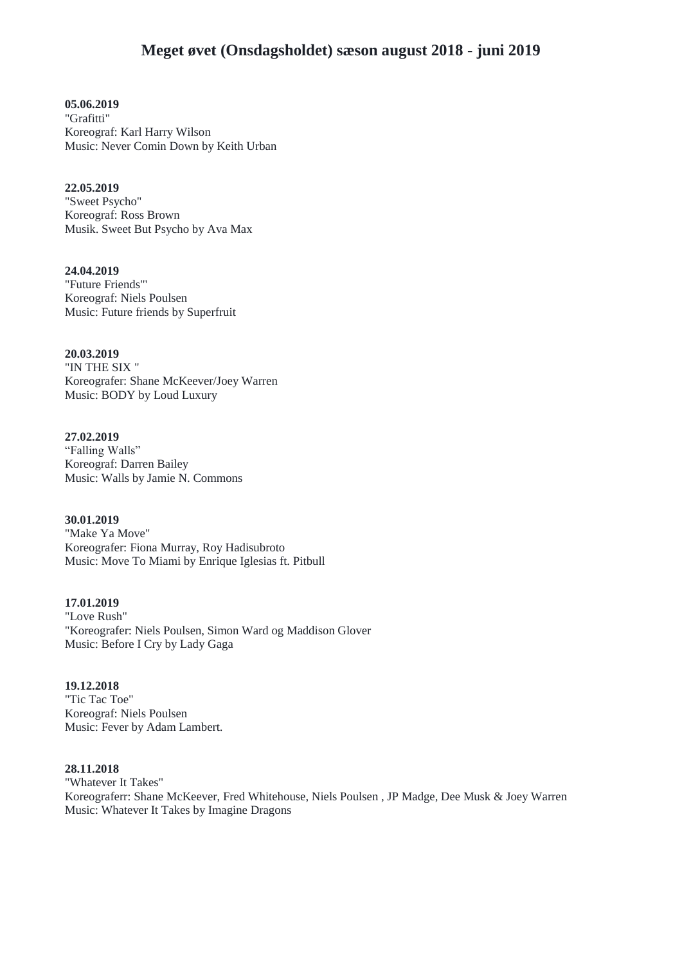**05.06.2019** "Grafitti" Koreograf: Karl Harry Wilson Music: Never Comin Down by Keith Urban

**22.05.2019** "Sweet Psycho" Koreograf: Ross Brown Musik. Sweet But Psycho by Ava Max

**24.04.2019** "Future Friends"' Koreograf: Niels Poulsen Music: Future friends by Superfruit

**20.03.2019** "IN THE SIX " Koreografer: Shane McKeever/Joey Warren Music: BODY by Loud Luxury

**27.02.2019** "Falling Walls" Koreograf: Darren Bailey Music: Walls by Jamie N. Commons

**30.01.2019** "Make Ya Move" Koreografer: Fiona Murray, Roy Hadisubroto Music: Move To Miami by Enrique Iglesias ft. Pitbull

**17.01.2019** "Love Rush" "Koreografer: Niels Poulsen, Simon Ward og Maddison Glover Music: Before I Cry by Lady Gaga

**19.12.2018** "Tic Tac Toe" Koreograf: Niels Poulsen Music: Fever by Adam Lambert.

#### **28.11.2018**

"Whatever It Takes" Koreograferr: Shane McKeever, Fred Whitehouse, Niels Poulsen , JP Madge, Dee Musk & Joey Warren Music: Whatever It Takes by Imagine Dragons